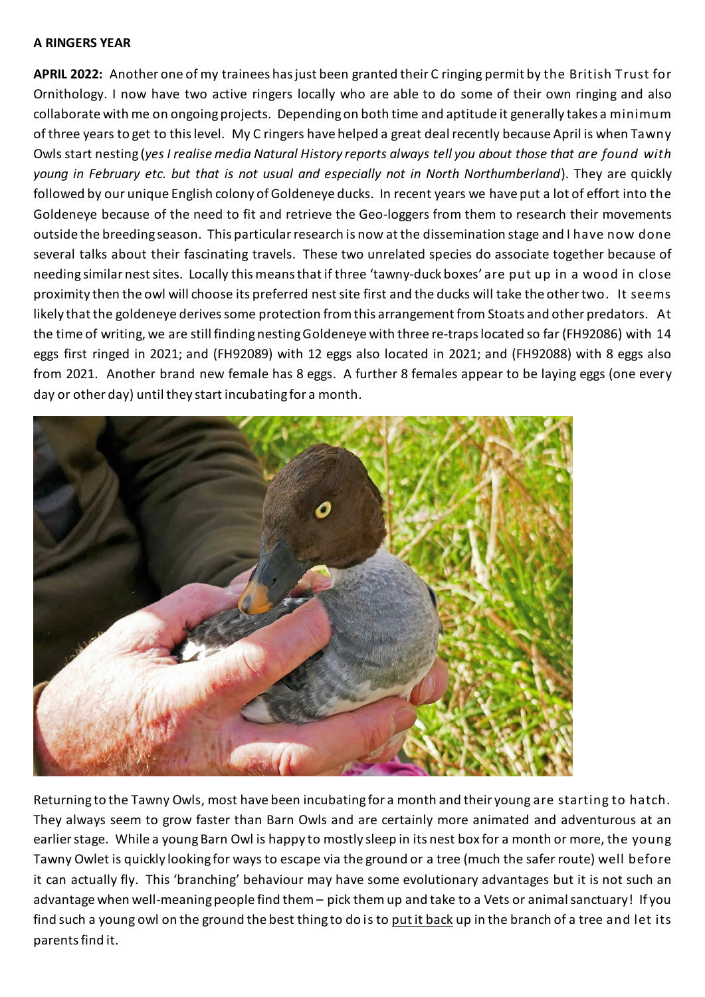## **A RINGERS YEAR**

**APRIL 2022:** Another one of my trainees has just been granted their C ringing permit by the British Trust for Ornithology. I now have two active ringers locally who are able to do some of their own ringing and also collaborate with me on ongoing projects. Depending on both time and aptitude it generally takes a minimum of three years to get to this level. My C ringers have helped a great deal recently because April is when Tawny Owls start nesting (*yes I realise media Natural History reports always tell you about those that are found with young in February etc. but that is not usual and especially not in North Northumberland*). They are quickly followed by our unique English colony of Goldeneye ducks. In recent years we have put a lot of effort into the Goldeneye because of the need to fit and retrieve the Geo-loggers from them to research their movements outside the breeding season. This particular research is now at the dissemination stage and I have now done several talks about their fascinating travels. These two unrelated species do associate together because of needing similar nest sites. Locally this means that if three 'tawny-duck boxes' are put up in a wood in close proximity then the owl will choose its preferred nest site first and the ducks will take the other two. It seems likely that the goldeneye derives some protection from this arrangement from Stoats and other predators. At the time of writing, we are still finding nesting Goldeneye with three re-traps located so far (FH92086) with 14 eggs first ringed in 2021; and (FH92089) with 12 eggs also located in 2021; and (FH92088) with 8 eggs also from 2021. Another brand new female has 8 eggs. A further 8 females appear to be laying eggs (one every day or other day) until they start incubating for a month.



Returning to the Tawny Owls, most have been incubating for a month and their young are starting to hatch. They always seem to grow faster than Barn Owls and are certainly more animated and adventurous at an earlier stage. While a young Barn Owl is happy to mostly sleep in its nest box for a month or more, the young Tawny Owlet is quickly looking for ways to escape via the ground or a tree (much the safer route) well before it can actually fly. This 'branching' behaviour may have some evolutionary advantages but it is not such an advantage when well-meaning people find them – pick them up and take to a Vets or animal sanctuary! If you find such a young owl on the ground the best thing to do is to put it back up in the branch of a tree and let its parents find it.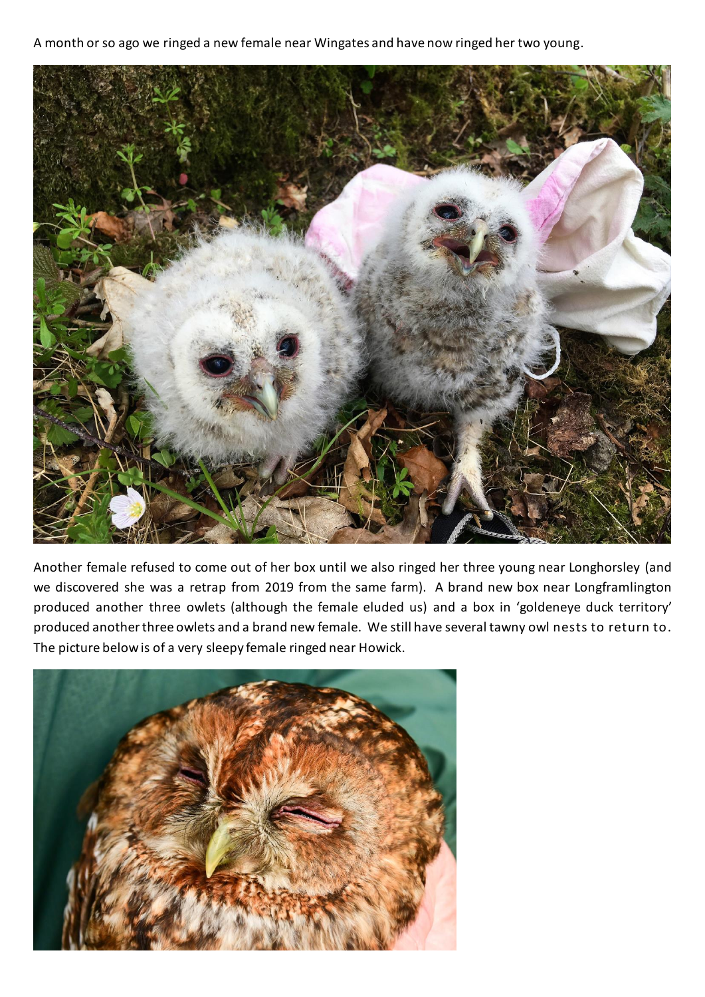A month or so ago we ringed a new female near Wingates and have now ringed her two young.



Another female refused to come out of her box until we also ringed her three young near Longhorsley (and we discovered she was a retrap from 2019 from the same farm). A brand new box near Longframlington produced another three owlets (although the female eluded us) and a box in 'goldeneye duck territory' produced another three owlets and a brand new female. We still have several tawny owl nests to return to. The picture belowis of a very sleepy female ringed near Howick.